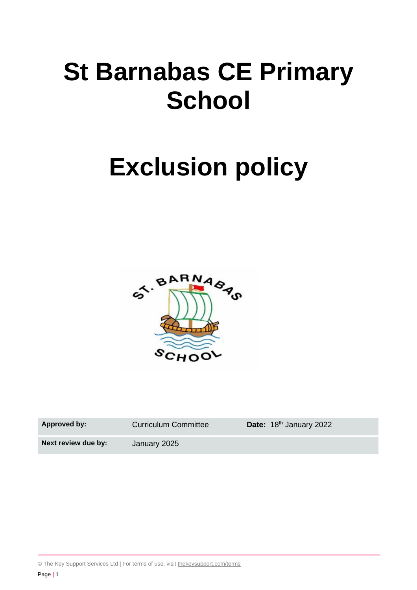# **St Barnabas CE Primary School**

# **Exclusion policy**



| <b>Approved by:</b> | <b>Curriculum Committee</b> | Date: 18th January 2022 |
|---------------------|-----------------------------|-------------------------|
| Next review due by: | January 2025                |                         |

© The Key Support Services Ltd | For terms of use, visit [thekeysupport.com/terms](https://thekeysupport.com/terms-of-use)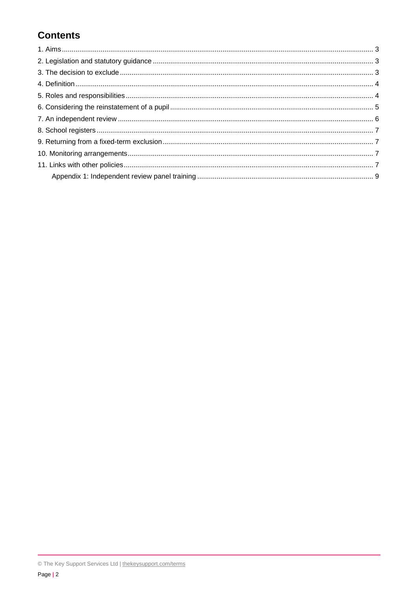# **Contents**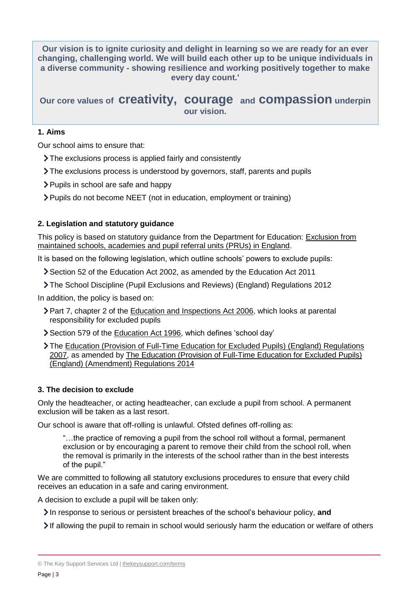**Our vision is to ignite curiosity and delight in learning so we are ready for an ever changing, challenging world. We will build each other up to be unique individuals in a diverse community - showing resilience and working positively together to make every day count.'**

# **Our core values of creativity, courage and compassion underpin our vision.**

### <span id="page-2-0"></span>**1. Aims**

Our school aims to ensure that:

- The exclusions process is applied fairly and consistently
- The exclusions process is understood by governors, staff, parents and pupils
- Pupils in school are safe and happy
- Pupils do not become NEET (not in education, employment or training)

# <span id="page-2-1"></span>**2. Legislation and statutory guidance**

This policy is based on statutory guidance from the Department for Education: [Exclusion from](https://www.gov.uk/government/publications/school-exclusion)  [maintained schools, academies and pupil referral units \(PRUs\) in England.](https://www.gov.uk/government/publications/school-exclusion)

It is based on the following legislation, which outline schools' powers to exclude pupils:

- Section 52 of the [Education Act 2002,](http://www.legislation.gov.uk/ukpga/2002/32/section/52) as amended by the [Education Act 2011](http://www.legislation.gov.uk/ukpga/2011/21/contents/enacted)
- [The School Discipline \(Pupil Exclusions and Reviews\) \(England\) Regulations 2012](http://www.legislation.gov.uk/uksi/2012/1033/made)

In addition, the policy is based on:

- Part 7, chapter 2 of the [Education and Inspections Act 2006,](http://www.legislation.gov.uk/ukpga/2006/40/part/7/chapter/2) which looks at parental responsibility for excluded pupils
- Section 579 of the [Education Act 1996,](http://www.legislation.gov.uk/ukpga/1996/56/section/579) which defines 'school day'
- The [Education \(Provision of Full-Time Education for Excluded Pupils\) \(England\) Regulations](http://www.legislation.gov.uk/uksi/2007/1870/contents/made)  [2007,](http://www.legislation.gov.uk/uksi/2007/1870/contents/made) as amended by [The Education \(Provision of Full-Time Education for Excluded Pupils\)](http://www.legislation.gov.uk/uksi/2014/3216/contents/made)  [\(England\) \(Amendment\) Regulations 2014](http://www.legislation.gov.uk/uksi/2014/3216/contents/made)

#### <span id="page-2-2"></span>**3. The decision to exclude**

Only the headteacher, or acting headteacher, can exclude a pupil from school. A permanent exclusion will be taken as a last resort.

Our school is aware that off-rolling is unlawful. Ofsted defines off-rolling as:

"…the practice of removing a pupil from the school roll without a formal, permanent exclusion or by encouraging a parent to remove their child from the school roll, when the removal is primarily in the interests of the school rather than in the best interests of the pupil."

We are committed to following all statutory exclusions procedures to ensure that every child receives an education in a safe and caring environment.

A decision to exclude a pupil will be taken only:

In response to serious or persistent breaches of the school's behaviour policy, and

If allowing the pupil to remain in school would seriously harm the education or welfare of others

<sup>©</sup> The Key Support Services Ltd | [thekeysupport.com/terms](https://thekeysupport.com/terms-of-use)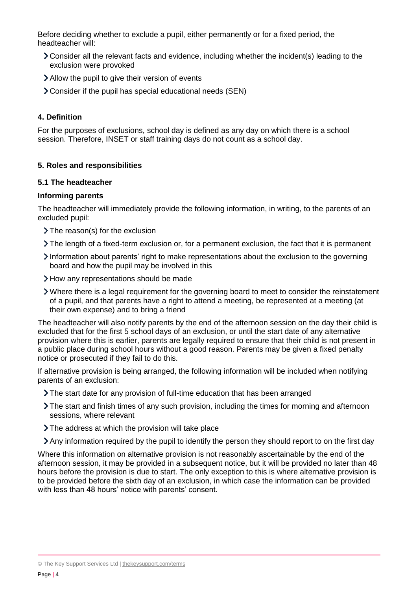Before deciding whether to exclude a pupil, either permanently or for a fixed period, the headteacher will:

- Consider all the relevant facts and evidence, including whether the incident(s) leading to the exclusion were provoked
- Allow the pupil to give their version of events
- Consider if the pupil has special educational needs (SEN)

#### <span id="page-3-0"></span>**4. Definition**

For the purposes of exclusions, school day is defined as any day on which there is a school session. Therefore, INSET or staff training days do not count as a school day.

#### <span id="page-3-1"></span>**5. Roles and responsibilities**

#### **5.1 The headteacher**

#### **Informing parents**

The headteacher will immediately provide the following information, in writing, to the parents of an excluded pupil:

- > The reason(s) for the exclusion
- The length of a fixed-term exclusion or, for a permanent exclusion, the fact that it is permanent
- Information about parents' right to make representations about the exclusion to the governing board and how the pupil may be involved in this
- How any representations should be made
- Where there is a legal requirement for the governing board to meet to consider the reinstatement of a pupil, and that parents have a right to attend a meeting, be represented at a meeting (at their own expense) and to bring a friend

The headteacher will also notify parents by the end of the afternoon session on the day their child is excluded that for the first 5 school days of an exclusion, or until the start date of any alternative provision where this is earlier, parents are legally required to ensure that their child is not present in a public place during school hours without a good reason. Parents may be given a fixed penalty notice or prosecuted if they fail to do this.

If alternative provision is being arranged, the following information will be included when notifying parents of an exclusion:

- The start date for any provision of full-time education that has been arranged
- The start and finish times of any such provision, including the times for morning and afternoon sessions, where relevant
- The address at which the provision will take place
- Any information required by the pupil to identify the person they should report to on the first day

Where this information on alternative provision is not reasonably ascertainable by the end of the afternoon session, it may be provided in a subsequent notice, but it will be provided no later than 48 hours before the provision is due to start. The only exception to this is where alternative provision is to be provided before the sixth day of an exclusion, in which case the information can be provided with less than 48 hours' notice with parents' consent.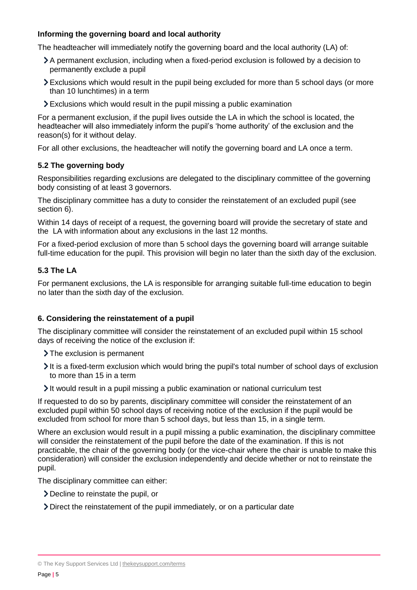# **Informing the governing board and local authority**

The headteacher will immediately notify the governing board and the local authority (LA) of:

- A permanent exclusion, including when a fixed-period exclusion is followed by a decision to permanently exclude a pupil
- Exclusions which would result in the pupil being excluded for more than 5 school days (or more than 10 lunchtimes) in a term
- Exclusions which would result in the pupil missing a public examination

For a permanent exclusion, if the pupil lives outside the LA in which the school is located, the headteacher will also immediately inform the pupil's 'home authority' of the exclusion and the reason(s) for it without delay.

For all other exclusions, the headteacher will notify the governing board and LA once a term.

#### **5.2 The governing body**

Responsibilities regarding exclusions are delegated to the disciplinary committee of the governing body consisting of at least 3 governors.

The disciplinary committee has a duty to consider the reinstatement of an excluded pupil (see section 6).

Within 14 days of receipt of a request, the governing board will provide the secretary of state and the LA with information about any exclusions in the last 12 months.

For a fixed-period exclusion of more than 5 school days the governing board will arrange suitable full-time education for the pupil. This provision will begin no later than the sixth day of the exclusion.

### **5.3 The LA**

For permanent exclusions, the LA is responsible for arranging suitable full-time education to begin no later than the sixth day of the exclusion.

#### <span id="page-4-0"></span>**6. Considering the reinstatement of a pupil**

The disciplinary committee will consider the reinstatement of an excluded pupil within 15 school days of receiving the notice of the exclusion if:

> The exclusion is permanent

- It is a fixed-term exclusion which would bring the pupil's total number of school days of exclusion to more than 15 in a term
- It would result in a pupil missing a public examination or national curriculum test

If requested to do so by parents, disciplinary committee will consider the reinstatement of an excluded pupil within 50 school days of receiving notice of the exclusion if the pupil would be excluded from school for more than 5 school days, but less than 15, in a single term.

Where an exclusion would result in a pupil missing a public examination, the disciplinary committee will consider the reinstatement of the pupil before the date of the examination. If this is not practicable, the chair of the governing body (or the vice-chair where the chair is unable to make this consideration) will consider the exclusion independently and decide whether or not to reinstate the pupil.

The disciplinary committee can either:

- Decline to reinstate the pupil, or
- Direct the reinstatement of the pupil immediately, or on a particular date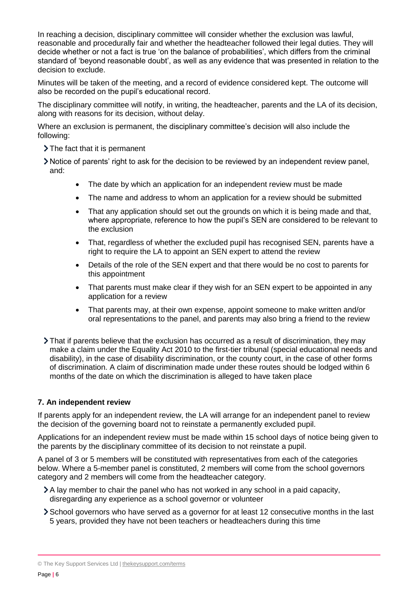In reaching a decision, disciplinary committee will consider whether the exclusion was lawful, reasonable and procedurally fair and whether the headteacher followed their legal duties. They will decide whether or not a fact is true 'on the balance of probabilities', which differs from the criminal standard of 'beyond reasonable doubt', as well as any evidence that was presented in relation to the decision to exclude.

Minutes will be taken of the meeting, and a record of evidence considered kept. The outcome will also be recorded on the pupil's educational record.

The disciplinary committee will notify, in writing, the headteacher, parents and the LA of its decision, along with reasons for its decision, without delay.

Where an exclusion is permanent, the disciplinary committee's decision will also include the following:

- > The fact that it is permanent
- Notice of parents' right to ask for the decision to be reviewed by an independent review panel, and:
	- The date by which an application for an independent review must be made
	- The name and address to whom an application for a review should be submitted
	- That any application should set out the grounds on which it is being made and that, where appropriate, reference to how the pupil's SEN are considered to be relevant to the exclusion
	- That, regardless of whether the excluded pupil has recognised SEN, parents have a right to require the LA to appoint an SEN expert to attend the review
	- Details of the role of the SEN expert and that there would be no cost to parents for this appointment
	- That parents must make clear if they wish for an SEN expert to be appointed in any application for a review
	- That parents may, at their own expense, appoint someone to make written and/or oral representations to the panel, and parents may also bring a friend to the review
- That if parents believe that the exclusion has occurred as a result of discrimination, they may make a claim under the Equality Act 2010 to the first-tier tribunal (special educational needs and disability), in the case of disability discrimination, or the county court, in the case of other forms of discrimination. A claim of discrimination made under these routes should be lodged within 6 months of the date on which the discrimination is alleged to have taken place

#### <span id="page-5-0"></span>**7. An independent review**

If parents apply for an independent review, the LA will arrange for an independent panel to review the decision of the governing board not to reinstate a permanently excluded pupil.

Applications for an independent review must be made within 15 school days of notice being given to the parents by the disciplinary committee of its decision to not reinstate a pupil.

A panel of 3 or 5 members will be constituted with representatives from each of the categories below. Where a 5-member panel is constituted, 2 members will come from the school governors category and 2 members will come from the headteacher category.

- A lay member to chair the panel who has not worked in any school in a paid capacity, disregarding any experience as a school governor or volunteer
- School governors who have served as a governor for at least 12 consecutive months in the last 5 years, provided they have not been teachers or headteachers during this time

<sup>©</sup> The Key Support Services Ltd | [thekeysupport.com/terms](https://thekeysupport.com/terms-of-use)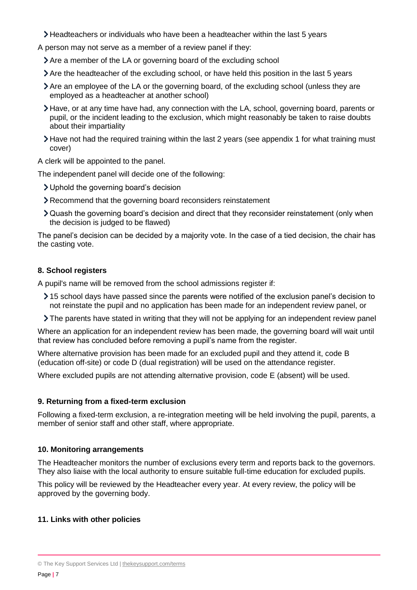- Headteachers or individuals who have been a headteacher within the last 5 years
- A person may not serve as a member of a review panel if they:
	- Are a member of the LA or governing board of the excluding school
	- Are the headteacher of the excluding school, or have held this position in the last 5 years
	- Are an employee of the LA or the governing board, of the excluding school (unless they are employed as a headteacher at another school)
	- Have, or at any time have had, any connection with the LA, school, governing board, parents or pupil, or the incident leading to the exclusion, which might reasonably be taken to raise doubts about their impartiality
	- Have not had the required training within the last 2 years (see appendix 1 for what training must cover)

A clerk will be appointed to the panel.

The independent panel will decide one of the following:

- Uphold the governing board's decision
- Recommend that the governing board reconsiders reinstatement
- Quash the governing board's decision and direct that they reconsider reinstatement (only when the decision is judged to be flawed)

The panel's decision can be decided by a majority vote. In the case of a tied decision, the chair has the casting vote.

# <span id="page-6-0"></span>**8. School registers**

A pupil's name will be removed from the school admissions register if:

- 15 school days have passed since the parents were notified of the exclusion panel's decision to not reinstate the pupil and no application has been made for an independent review panel, or
- The parents have stated in writing that they will not be applying for an independent review panel

Where an application for an independent review has been made, the governing board will wait until that review has concluded before removing a pupil's name from the register.

Where alternative provision has been made for an excluded pupil and they attend it, code B (education off-site) or code D (dual registration) will be used on the attendance register.

Where excluded pupils are not attending alternative provision, code E (absent) will be used.

# <span id="page-6-1"></span>**9. Returning from a fixed-term exclusion**

Following a fixed-term exclusion, a re-integration meeting will be held involving the pupil, parents, a member of senior staff and other staff, where appropriate.

# <span id="page-6-2"></span>**10. Monitoring arrangements**

The Headteacher monitors the number of exclusions every term and reports back to the governors. They also liaise with the local authority to ensure suitable full-time education for excluded pupils.

This policy will be reviewed by the Headteacher every year. At every review, the policy will be approved by the governing body.

# <span id="page-6-3"></span>**11. Links with other policies**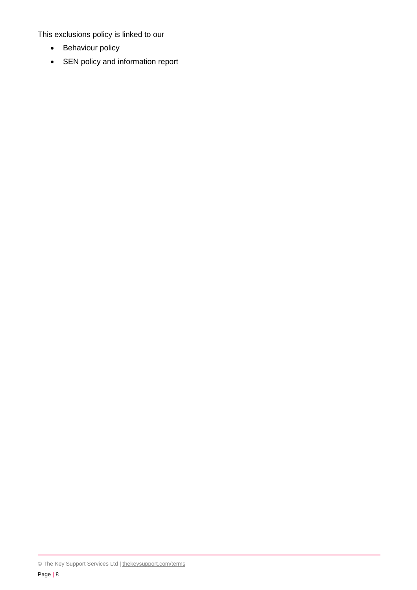This exclusions policy is linked to our

- Behaviour policy
- SEN policy and information report

© The Key Support Services Ltd | [thekeysupport.com/terms](https://thekeysupport.com/terms-of-use)